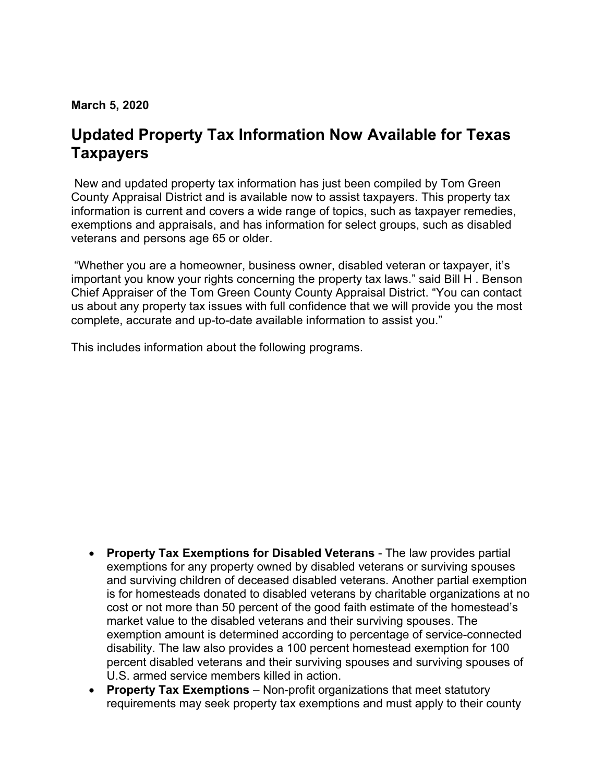**March 5, 2020**

## **Updated Property Tax Information Now Available for Texas Taxpayers**

New and updated property tax information has just been compiled by Tom Green County Appraisal District and is available now to assist taxpayers. This property tax information is current and covers a wide range of topics, such as taxpayer remedies, exemptions and appraisals, and has information for select groups, such as disabled veterans and persons age 65 or older.

 "Whether you are a homeowner, business owner, disabled veteran or taxpayer, it's important you know your rights concerning the property tax laws." said Bill H . Benson Chief Appraiser of the Tom Green County County Appraisal District. "You can contact us about any property tax issues with full confidence that we will provide you the most complete, accurate and up-to-date available information to assist you."

This includes information about the following programs.

- **Property Tax Exemptions for Disabled Veterans**  The law provides partial exemptions for any property owned by disabled veterans or surviving spouses and surviving children of deceased disabled veterans. Another partial exemption is for homesteads donated to disabled veterans by charitable organizations at no cost or not more than 50 percent of the good faith estimate of the homestead's market value to the disabled veterans and their surviving spouses. The exemption amount is determined according to percentage of service-connected disability. The law also provides a 100 percent homestead exemption for 100 percent disabled veterans and their surviving spouses and surviving spouses of U.S. armed service members killed in action.
- **Property Tax Exemptions**  Non-profit organizations that meet statutory requirements may seek property tax exemptions and must apply to their county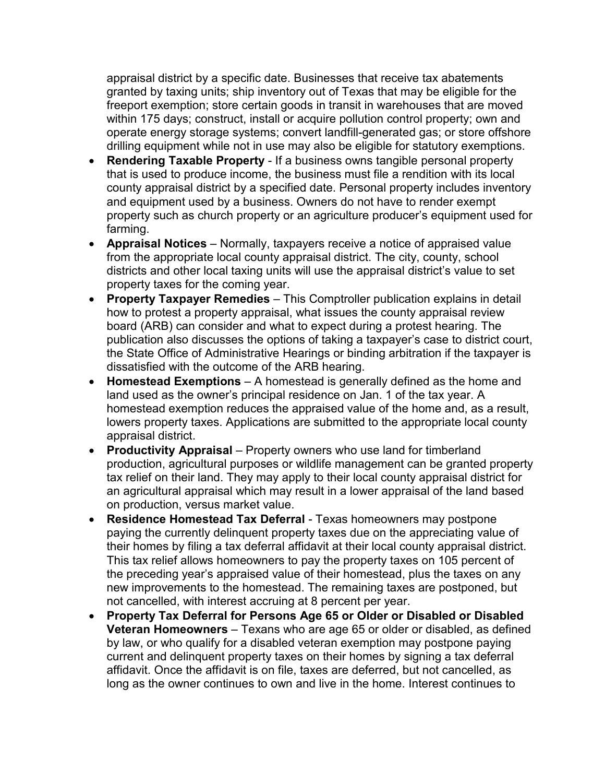appraisal district by a specific date. Businesses that receive tax abatements granted by taxing units; ship inventory out of Texas that may be eligible for the freeport exemption; store certain goods in transit in warehouses that are moved within 175 days; construct, install or acquire pollution control property; own and operate energy storage systems; convert landfill-generated gas; or store offshore drilling equipment while not in use may also be eligible for statutory exemptions.

- **Rendering Taxable Property**  If a business owns tangible personal property that is used to produce income, the business must file a rendition with its local county appraisal district by a specified date. Personal property includes inventory and equipment used by a business. Owners do not have to render exempt property such as church property or an agriculture producer's equipment used for farming.
- **Appraisal Notices**  Normally, taxpayers receive a notice of appraised value from the appropriate local county appraisal district. The city, county, school districts and other local taxing units will use the appraisal district's value to set property taxes for the coming year.
- **Property Taxpayer Remedies**  This Comptroller publication explains in detail how to protest a property appraisal, what issues the county appraisal review board (ARB) can consider and what to expect during a protest hearing. The publication also discusses the options of taking a taxpayer's case to district court, the State Office of Administrative Hearings or binding arbitration if the taxpayer is dissatisfied with the outcome of the ARB hearing.
- **Homestead Exemptions**  A homestead is generally defined as the home and land used as the owner's principal residence on Jan. 1 of the tax year. A homestead exemption reduces the appraised value of the home and, as a result, lowers property taxes. Applications are submitted to the appropriate local county appraisal district.
- **Productivity Appraisal** Property owners who use land for timberland production, agricultural purposes or wildlife management can be granted property tax relief on their land. They may apply to their local county appraisal district for an agricultural appraisal which may result in a lower appraisal of the land based on production, versus market value.
- **Residence Homestead Tax Deferral**  Texas homeowners may postpone paying the currently delinquent property taxes due on the appreciating value of their homes by filing a tax deferral affidavit at their local county appraisal district. This tax relief allows homeowners to pay the property taxes on 105 percent of the preceding year's appraised value of their homestead, plus the taxes on any new improvements to the homestead. The remaining taxes are postponed, but not cancelled, with interest accruing at 8 percent per year.
- **Property Tax Deferral for Persons Age 65 or Older or Disabled or Disabled Veteran Homeowners** – Texans who are age 65 or older or disabled, as defined by law, or who qualify for a disabled veteran exemption may postpone paying current and delinquent property taxes on their homes by signing a tax deferral affidavit. Once the affidavit is on file, taxes are deferred, but not cancelled, as long as the owner continues to own and live in the home. Interest continues to